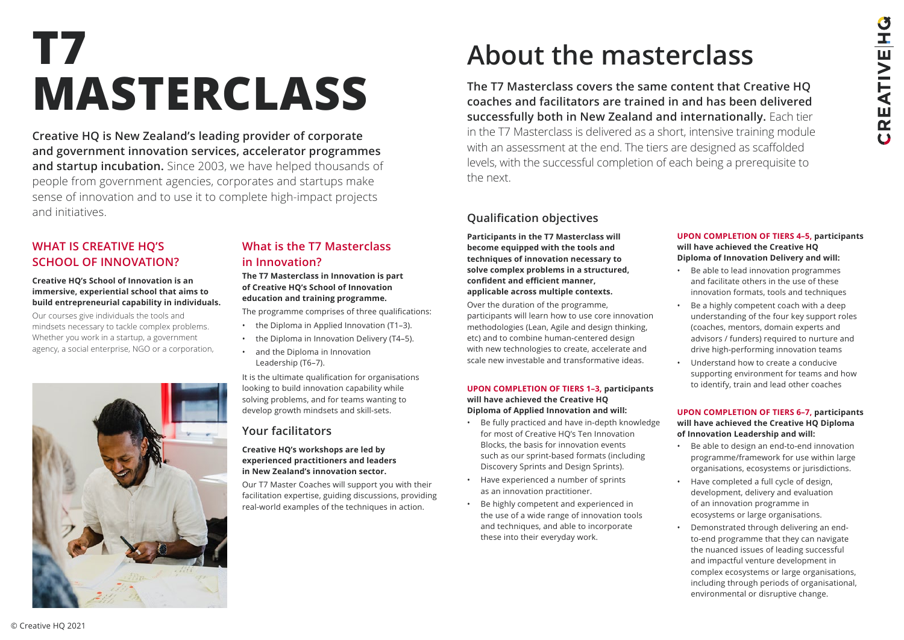**Creative HQ is New Zealand's leading provider of corporate and government innovation services, accelerator programmes and startup incubation.** Since 2003, we have helped thousands of people from government agencies, corporates and startups make sense of innovation and to use it to complete high-impact projects and initiatives.

## **WHAT IS CREATIVE HO'S SCHOOL OF INNOVATION?**

#### **Creative HQ's School of Innovation is an immersive, experiential school that aims to build entrepreneurial capability in individuals.**

Our courses give individuals the tools and mindsets necessary to tackle complex problems. Whether you work in a startup, a government agency, a social enterprise, NGO or a corporation,



## **What is the T7 Masterclass in Innovation?**

**The T7 Masterclass in Innovation is part of Creative HQ's School of Innovation education and training programme.** 

The programme comprises of three qualifications:

- the Diploma in Applied Innovation (T1–3).
- the Diploma in Innovation Delivery (T4-5).
- and the Diploma in Innovation Leadership (T6–7).

It is the ultimate qualification for organisations looking to build innovation capability while solving problems, and for teams wanting to develop growth mindsets and skill-sets.

# **Your facilitators**

#### **Creative HQ's workshops are led by experienced practitioners and leaders in New Zealand's innovation sector.**

Our T7 Master Coaches will support you with their facilitation expertise, guiding discussions, providing real-world examples of the techniques in action.

# **T7 MASTERCLASS**

# **About the masterclass**

# **Qualification objectives**

**Participants in the T7 Masterclass will become equipped with the tools and techniques of innovation necessary to solve complex problems in a structured, confident and efficient manner, applicable across multiple contexts.**

Over the duration of the programme, participants will learn how to use core innovation methodologies (Lean, Agile and design thinking, etc) and to combine human-centered design with new technologies to create, accelerate and scale new investable and transformative ideas.

#### **UPON COMPLETION OF TIERS 1–3, participants will have achieved the Creative HQ Diploma of Applied Innovation and will:**

- Be fully practiced and have in-depth knowledge for most of Creative HQ's Ten Innovation Blocks, the basis for innovation events such as our sprint-based formats (including Discovery Sprints and Design Sprints).
- Have experienced a number of sprints as an innovation practitioner.
- Be highly competent and experienced in the use of a wide range of innovation tools and techniques, and able to incorporate these into their everyday work.

#### **UPON COMPLETION OF TIERS 4–5, participants will have achieved the Creative HQ Diploma of Innovation Delivery and will:**

- Be able to lead innovation programmes and facilitate others in the use of these innovation formats, tools and techniques • Be a highly competent coach with a deep understanding of the four key support roles (coaches, mentors, domain experts and advisors / funders) required to nurture and drive high-performing innovation teams • Understand how to create a conducive
	- supporting environment for teams and how to identify, train and lead other coaches

#### **UPON COMPLETION OF TIERS 6–7, participants will have achieved the Creative HQ Diploma of Innovation Leadership and will:**

• Be able to design an end-to-end innovation programme/framework for use within large organisations, ecosystems or jurisdictions. • Have completed a full cycle of design, development, delivery and evaluation of an innovation programme in ecosystems or large organisations. • Demonstrated through delivering an endto-end programme that they can navigate the nuanced issues of leading successful and impactful venture development in complex ecosystems or large organisations, including through periods of organisational, environmental or disruptive change.

**The T7 Masterclass covers the same content that Creative HQ coaches and facilitators are trained in and has been delivered successfully both in New Zealand and internationally.** Each tier in the T7 Masterclass is delivered as a short, intensive training module with an assessment at the end. The tiers are designed as scaffolded levels, with the successful completion of each being a prerequisite to the next.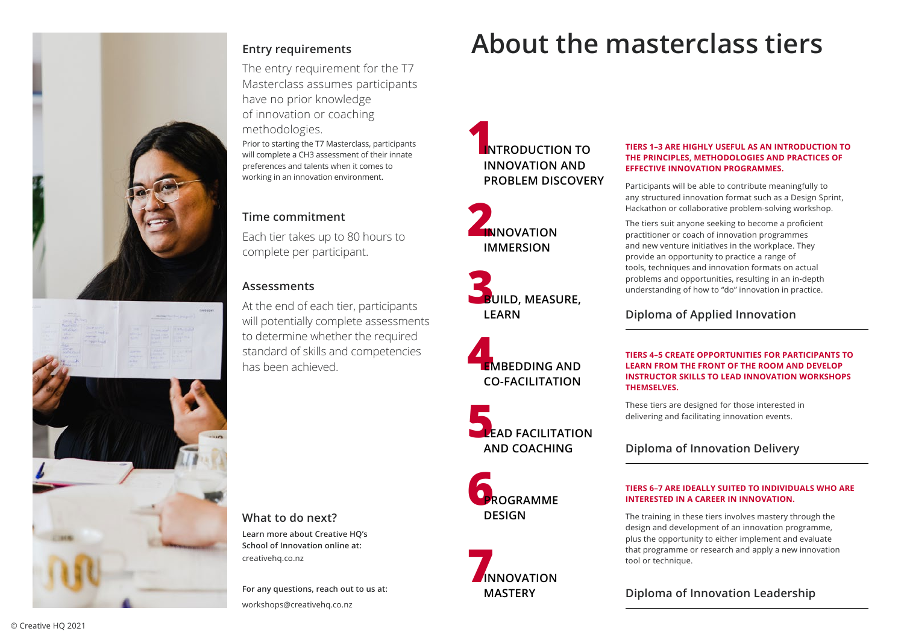

## **Entry requirements**

The entry requirement for the T7 Masterclass assumes participants have no prior knowledge of innovation or coaching methodologies.

Prior to starting the T7 Masterclass, participants will complete a CH3 assessment of their innate preferences and talents when it comes to working in an innovation environment.

# **Time commitment**

Each tier takes up to 80 hours to complete per participant.

### **Assessments**

At the end of each tier, participants will potentially complete assessments to determine whether the required standard of skills and competencies has been achieved.

# **About the masterclass tiers**

#### **What to do next?**

**Learn more about Creative HQ's School of Innovation online at:** [creativehq.co.nz](http://creativehq.co.nz)

**For any questions, reach out to us at:** [workshops@creativehq.co.nz](mailto:workshops%40creativehq.co.nz?subject=Enquiry%20about%20the%20Certificate%20in%20Applied%20Innovation)

**1 INTRODUCTION TO INNOVATION AND PROBLEM DISCOVERY**

#### **TIERS 1–3 ARE HIGHLY USEFUL AS AN INTRODUCTION TO THE PRINCIPLES, METHODOLOGIES AND PRACTICES OF EFFECTIVE INNOVATION PROGRAMMES.**

Participants will be able to contribute meaningfully to any structured innovation format such as a Design Sprint, Hackathon or collaborative problem-solving workshop.



**3 BUILD, MEASURE, LEARN**

**4 EMBEDDING AND CO-FACILITATION** The tiers suit anyone seeking to become a proficient practitioner or coach of innovation programmes and new venture initiatives in the workplace. They provide an opportunity to practice a range of tools, techniques and innovation formats on actual problems and opportunities, resulting in an in-depth understanding of how to "do" innovation in practice.

**5 LEAD FACILITATION AND COACHING**

**6 PROGRAMME DESIGN**

# **Diploma of Applied Innovation**

**7 INNOVATION MASTERY**

#### **TIERS 4–5 CREATE OPPORTUNITIES FOR PARTICIPANTS TO LEARN FROM THE FRONT OF THE ROOM AND DEVELOP INSTRUCTOR SKILLS TO LEAD INNOVATION WORKSHOPS THEMSELVES.**

These tiers are designed for those interested in delivering and facilitating innovation events.

# **Diploma of Innovation Delivery**

#### **TIERS 6–7 ARE IDEALLY SUITED TO INDIVIDUALS WHO ARE INTERESTED IN A CAREER IN INNOVATION.**

The training in these tiers involves mastery through the design and development of an innovation programme, plus the opportunity to either implement and evaluate that programme or research and apply a new innovation tool or technique.

# **Diploma of Innovation Leadership**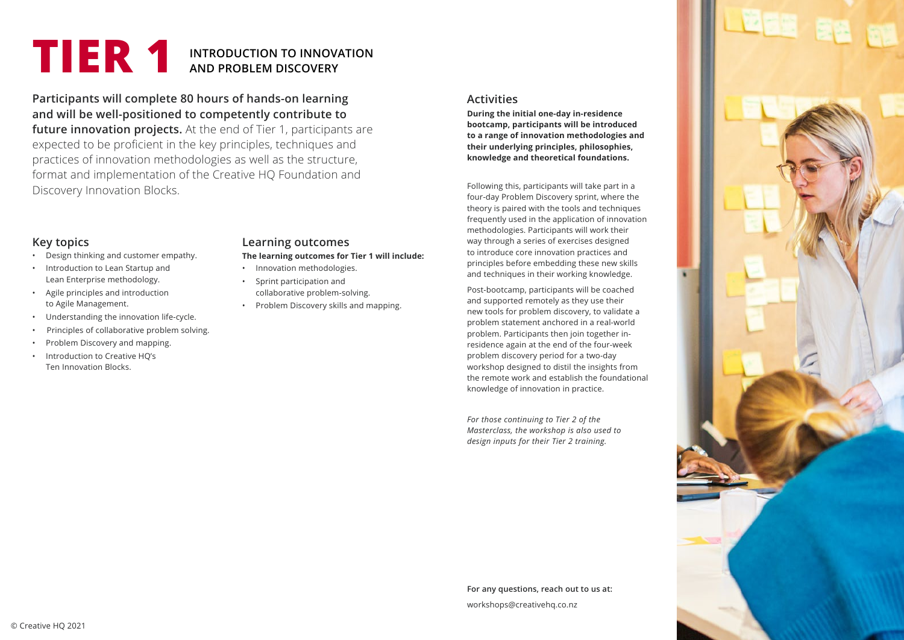

# **TIER 1** INTRODUCTION TO INNOVATION **AND PROBLEM DISCOVERY**

**Participants will complete 80 hours of hands-on learning and will be well-positioned to competently contribute to future innovation projects.** At the end of Tier 1, participants are expected to be proficient in the key principles, techniques and practices of innovation methodologies as well as the structure, format and implementation of the Creative HQ Foundation and Discovery Innovation Blocks.

#### **Activities**

**During the initial one-day in-residence bootcamp, participants will be introduced to a range of innovation methodologies and their underlying principles, philosophies, knowledge and theoretical foundations.**

Following this, participants will take part in a four-day Problem Discovery sprint, where the theory is paired with the tools and techniques frequently used in the application of innovation methodologies. Participants will work their way through a series of exercises designed to introduce core innovation practices and principles before embedding these new skills and techniques in their working knowledge.

Post-bootcamp, participants will be coached and supported remotely as they use their new tools for problem discovery, to validate a problem statement anchored in a real-world problem. Participants then join together inresidence again at the end of the four-week problem discovery period for a two-day workshop designed to distil the insights from the remote work and establish the foundational knowledge of innovation in practice.

*For those continuing to Tier 2 of the Masterclass, the workshop is also used to design inputs for their Tier 2 training.*

### **Key topics**

- Design thinking and customer empathy.
- Introduction to Lean Startup and Lean Enterprise methodology.
- Agile principles and introduction to Agile Management.
- Understanding the innovation life-cycle.
- Principles of collaborative problem solving.
- Problem Discovery and mapping.
- Introduction to Creative HQ's Ten Innovation Blocks.

#### **Learning outcomes**

#### **The learning outcomes for Tier 1 will include:**

- Innovation methodologies.
- Sprint participation and collaborative problem-solving.
- Problem Discovery skills and mapping.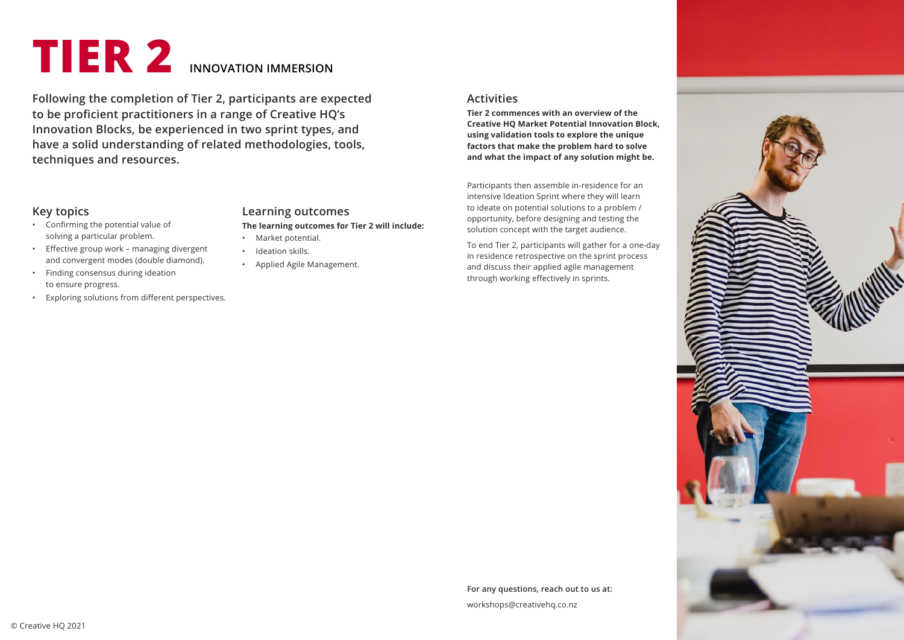



**Following the completion of Tier 2, participants are expected to be proficient practitioners in a range of Creative HQ's Innovation Blocks, be experienced in two sprint types, and have a solid understanding of related methodologies, tools, techniques and resources.**

#### **Activities**

**Tier 2 commences with an overview of the Creative HQ Market Potential Innovation Block, using validation tools to explore the unique factors that make the problem hard to solve and what the impact of any solution might be.**

Participants then assemble in-residence for an intensive Ideation Sprint where they will learn to ideate on potential solutions to a problem / opportunity, before designing and testing the solution concept with the target audience.

To end Tier 2, participants will gather for a one-day in residence retrospective on the sprint process and discuss their applied agile management through working effectively in sprints.

#### **Key topics**

- Confirming the potential value of solving a particular problem.
- Effective group work managing divergent and convergent modes (double diamond).
- Finding consensus during ideation to ensure progress.
- Exploring solutions from different perspectives.

#### **Learning outcomes**

**The learning outcomes for Tier 2 will include:** 

- Market potential.
- Ideation skills.
- Applied Agile Management.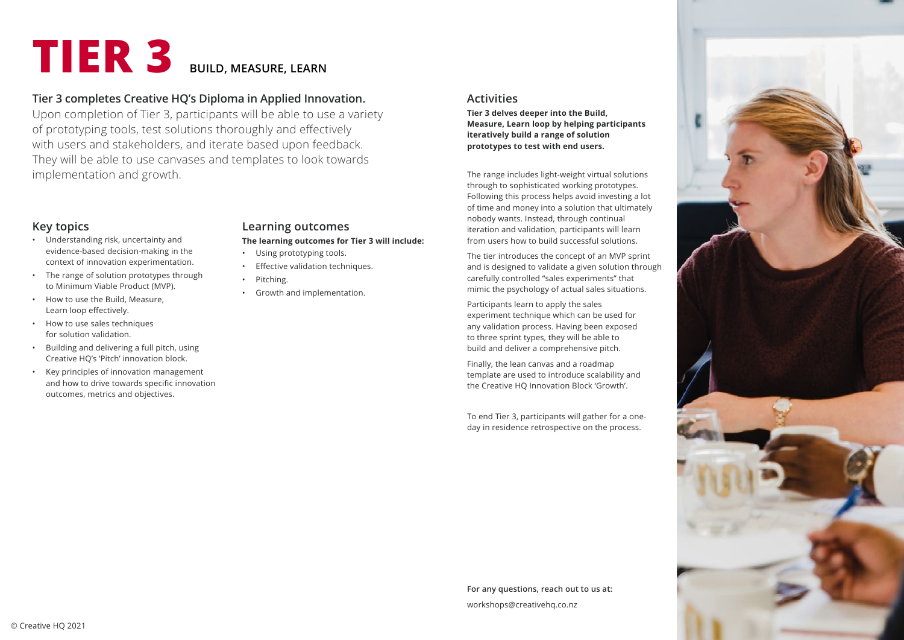



#### **Tier 3 completes Creative HQ's Diploma in Applied Innovation.**

Upon completion of Tier 3, participants will be able to use a variety of prototyping tools, test solutions thoroughly and effectively with users and stakeholders, and iterate based upon feedback. They will be able to use canvases and templates to look towards implementation and growth.

#### **Activities**

**Tier 3 delves deeper into the Build, Measure, Learn loop by helping participants iteratively build a range of solution prototypes to test with end users.**

The range includes light-weight virtual solutions through to sophisticated working prototypes. Following this process helps avoid investing a lot of time and money into a solution that ultimately nobody wants. Instead, through continual iteration and validation, participants will learn from users how to build successful solutions.

The tier introduces the concept of an MVP sprint and is designed to validate a given solution through carefully controlled "sales experiments" that mimic the psychology of actual sales situations.

- Using prototyping tools.
- Effective validation techniques.
- Pitching.
- Growth and implementation.

Participants learn to apply the sales experiment technique which can be used for any validation process. Having been exposed to three sprint types, they will be able to build and deliver a comprehensive pitch.

Finally, the lean canvas and a roadmap template are used to introduce scalability and the Creative HQ Innovation Block 'Growth'.

To end Tier 3, participants will gather for a oneday in residence retrospective on the process.

#### **Key topics**

- Understanding risk, uncertainty and evidence-based decision-making in the context of innovation experimentation.
- The range of solution prototypes through to Minimum Viable Product (MVP).
- How to use the Build, Measure, Learn loop effectively.
- How to use sales techniques for solution validation.
- Building and delivering a full pitch, using Creative HQ's 'Pitch' innovation block.
- Key principles of innovation management and how to drive towards specific innovation outcomes, metrics and objectives.

# **Learning outcomes**

#### **The learning outcomes for Tier 3 will include:**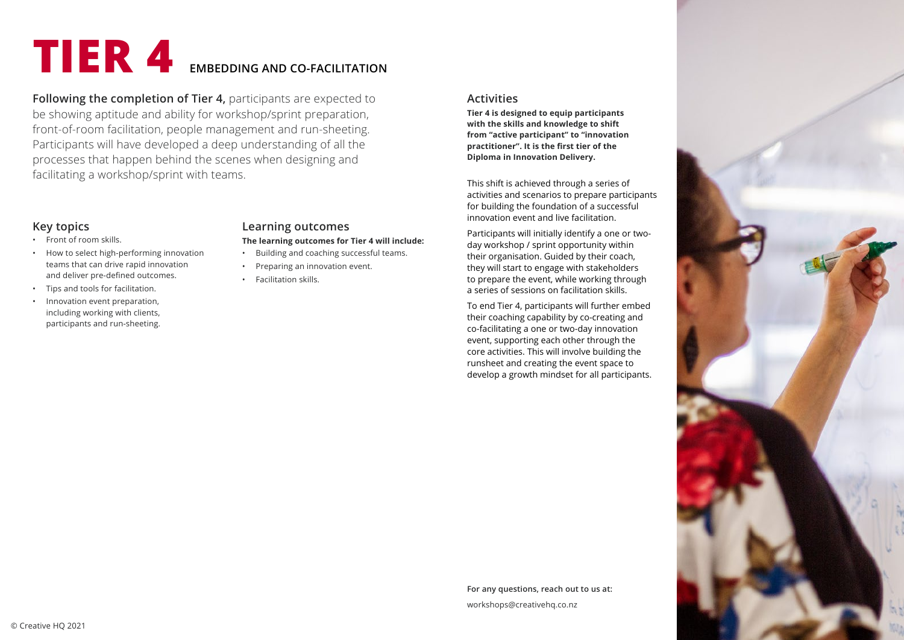

# **TIER 4 EMBEDDING AND CO-FACILITATION**

**Following the completion of Tier 4, participants are expected to** be showing aptitude and ability for workshop/sprint preparation, front-of-room facilitation, people management and run-sheeting. Participants will have developed a deep understanding of all the processes that happen behind the scenes when designing and facilitating a workshop/sprint with teams.

## **Activities**

**Tier 4 is designed to equip participants with the skills and knowledge to shift from "active participant" to "innovation practitioner". It is the first tier of the Diploma in Innovation Delivery.**

This shift is achieved through a series of activities and scenarios to prepare participants for building the foundation of a successful innovation event and live facilitation.

Participants will initially identify a one or twoday workshop / sprint opportunity within their organisation. Guided by their coach, they will start to engage with stakeholders to prepare the event, while working through a series of sessions on facilitation skills.

To end Tier 4, participants will further embed their coaching capability by co-creating and co-facilitating a one or two-day innovation event, supporting each other through the core activities. This will involve building the runsheet and creating the event space to develop a growth mindset for all participants.

# **Key topics**

- Front of room skills.
- How to select high-performing innovation teams that can drive rapid innovation and deliver pre-defined outcomes.
- Tips and tools for facilitation.
- Innovation event preparation, including working with clients, participants and run-sheeting.

#### **Learning outcomes The learning outcomes for Tier 4 will include:**

- Building and coaching successful teams.
- Preparing an innovation event.
- Facilitation skills.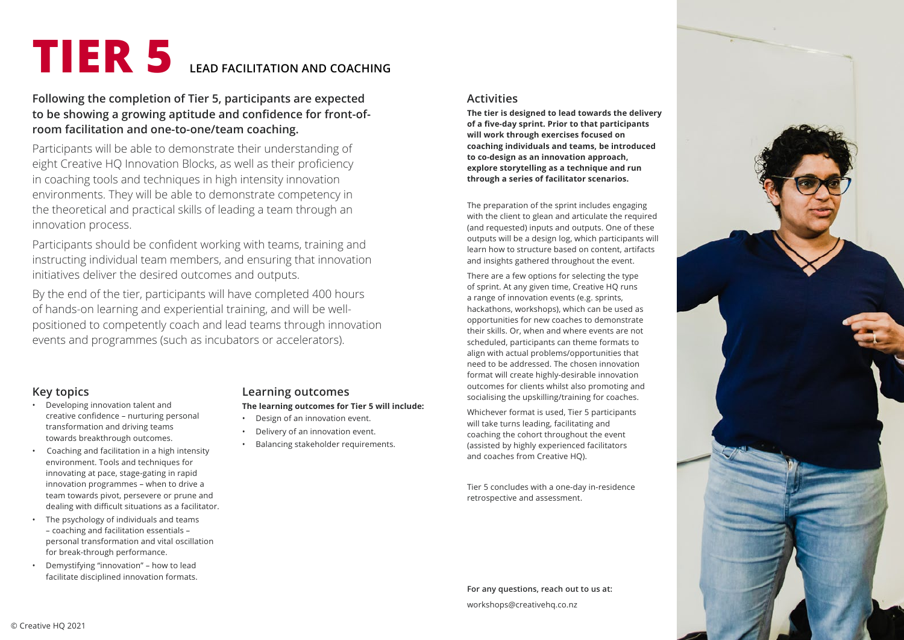

# **TIER 5 LEAD FACILITATION AND COACHING**

## **Following the completion of Tier 5, participants are expected to be showing a growing aptitude and confidence for front-ofroom facilitation and one-to-one/team coaching.**

Participants will be able to demonstrate their understanding of eight Creative HQ Innovation Blocks, as well as their proficiency in coaching tools and techniques in high intensity innovation environments. They will be able to demonstrate competency in the theoretical and practical skills of leading a team through an innovation process.

Participants should be confident working with teams, training and instructing individual team members, and ensuring that innovation initiatives deliver the desired outcomes and outputs.

By the end of the tier, participants will have completed 400 hours of hands-on learning and experiential training, and will be wellpositioned to competently coach and lead teams through innovation events and programmes (such as incubators or accelerators).

#### **Activities**

**The tier is designed to lead towards the delivery of a five-day sprint. Prior to that participants will work through exercises focused on coaching individuals and teams, be introduced to co-design as an innovation approach, explore storytelling as a technique and run through a series of facilitator scenarios.**

The preparation of the sprint includes engaging with the client to glean and articulate the required (and requested) inputs and outputs. One of these outputs will be a design log, which participants will learn how to structure based on content, artifacts and insights gathered throughout the event.

There are a few options for selecting the type of sprint. At any given time, Creative HQ runs a range of innovation events (e.g. sprints, hackathons, workshops), which can be used as opportunities for new coaches to demonstrate their skills. Or, when and where events are not scheduled, participants can theme formats to align with actual problems/opportunities that need to be addressed. The chosen innovation format will create highly-desirable innovation outcomes for clients whilst also promoting and socialising the upskilling/training for coaches.

Whichever format is used, Tier 5 participants will take turns leading, facilitating and coaching the cohort throughout the event (assisted by highly experienced facilitators and coaches from Creative HQ).

Tier 5 concludes with a one-day in-residence retrospective and assessment.

# **Key topics**

- Developing innovation talent and creative confidence – nurturing personal transformation and driving teams towards breakthrough outcomes.
- Coaching and facilitation in a high intensity environment. Tools and techniques for innovating at pace, stage-gating in rapid innovation programmes – when to drive a team towards pivot, persevere or prune and dealing with difficult situations as a facilitator.
- The psychology of individuals and teams – coaching and facilitation essentials – personal transformation and vital oscillation for break-through performance.
- Demystifying "innovation" how to lead facilitate disciplined innovation formats.

#### **Learning outcomes The learning outcomes for Tier 5 will include:**

- Design of an innovation event.
- Delivery of an innovation event.
- Balancing stakeholder requirements.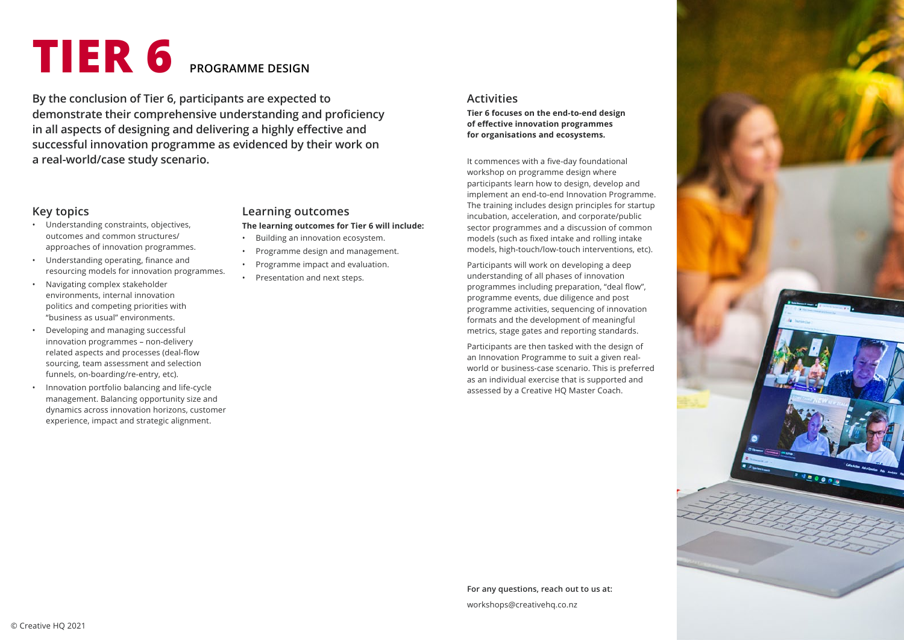

# **TIER 6 PROGRAMME DESIGN**

**By the conclusion of Tier 6, participants are expected to demonstrate their comprehensive understanding and proficiency in all aspects of designing and delivering a highly effective and successful innovation programme as evidenced by their work on a real-world/case study scenario.** 

#### **Activities**

**Tier 6 focuses on the end-to-end design of effective innovation programmes for organisations and ecosystems.**

It commences with a five-day foundational workshop on programme design where participants learn how to design, develop and implement an end-to-end Innovation Programme. The training includes design principles for startup incubation, acceleration, and corporate/public sector programmes and a discussion of common models (such as fixed intake and rolling intake models, high-touch/low-touch interventions, etc).

Participants will work on developing a deep understanding of all phases of innovation programmes including preparation, "deal flow", programme events, due diligence and post programme activities, sequencing of innovation formats and the development of meaningful metrics, stage gates and reporting standards.

Participants are then tasked with the design of an Innovation Programme to suit a given realworld or business-case scenario. This is preferred as an individual exercise that is supported and assessed by a Creative HQ Master Coach.

#### **Key topics**

- Understanding constraints, objectives, outcomes and common structures/ approaches of innovation programmes.
- Understanding operating, finance and resourcing models for innovation programmes.
- Navigating complex stakeholder environments, internal innovation politics and competing priorities with "business as usual" environments.
- Developing and managing successful innovation programmes – non-delivery related aspects and processes (deal-flow sourcing, team assessment and selection funnels, on-boarding/re-entry, etc).
- Innovation portfolio balancing and life-cycle management. Balancing opportunity size and dynamics across innovation horizons, customer experience, impact and strategic alignment.

#### **Learning outcomes The learning outcomes for Tier 6 will include:**

- Building an innovation ecosystem.
- Programme design and management.
- Programme impact and evaluation.
- Presentation and next steps.